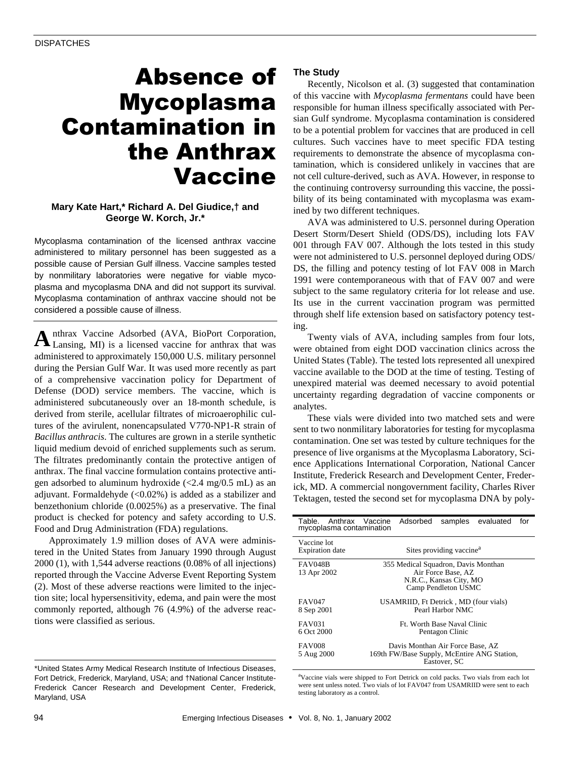# Absence of Mycoplasma Contamination in the Anthrax Vaccine

# **Mary Kate Hart,\* Richard A. Del Giudice,† and George W. Korch, Jr.\***

Mycoplasma contamination of the licensed anthrax vaccine administered to military personnel has been suggested as a possible cause of Persian Gulf illness. Vaccine samples tested by nonmilitary laboratories were negative for viable mycoplasma and mycoplasma DNA and did not support its survival. Mycoplasma contamination of anthrax vaccine should not be considered a possible cause of illness.

nthrax Vaccine Adsorbed (AVA, BioPort Corporation, A nthrax Vaccine Adsorbed (AVA, BioPort Corporation, Lansing, MI) is a licensed vaccine for anthrax that was administered to approximately 150,000 U.S. military personnel during the Persian Gulf War. It was used more recently as part of a comprehensive vaccination policy for Department of Defense (DOD) service members. The vaccine, which is administered subcutaneously over an 18-month schedule, is derived from sterile, acellular filtrates of microaerophilic cultures of the avirulent, nonencapsulated V770-NP1-R strain of *Bacillus anthracis*. The cultures are grown in a sterile synthetic liquid medium devoid of enriched supplements such as serum. The filtrates predominantly contain the protective antigen of anthrax. The final vaccine formulation contains protective antigen adsorbed to aluminum hydroxide  $\langle$  <2.4 mg/0.5 mL) as an adjuvant. Formaldehyde  $(<0.02\%)$  is added as a stabilizer and benzethonium chloride (0.0025%) as a preservative. The final product is checked for potency and safety according to U.S. Food and Drug Administration (FDA) regulations.

Approximately 1.9 million doses of AVA were administered in the United States from January 1990 through August 2000 (1), with 1,544 adverse reactions (0.08% of all injections) reported through the Vaccine Adverse Event Reporting System (2). Most of these adverse reactions were limited to the injection site; local hypersensitivity, edema, and pain were the most commonly reported, although 76 (4.9%) of the adverse reactions were classified as serious.

## **The Study**

Recently, Nicolson et al. (3) suggested that contamination of this vaccine with *Mycoplasma fermentans* could have been responsible for human illness specifically associated with Persian Gulf syndrome. Mycoplasma contamination is considered to be a potential problem for vaccines that are produced in cell cultures. Such vaccines have to meet specific FDA testing requirements to demonstrate the absence of mycoplasma contamination, which is considered unlikely in vaccines that are not cell culture-derived, such as AVA. However, in response to the continuing controversy surrounding this vaccine, the possibility of its being contaminated with mycoplasma was examined by two different techniques.

AVA was administered to U.S. personnel during Operation Desert Storm/Desert Shield (ODS/DS), including lots FAV 001 through FAV 007. Although the lots tested in this study were not administered to U.S. personnel deployed during ODS/ DS, the filling and potency testing of lot FAV 008 in March 1991 were contemporaneous with that of FAV 007 and were subject to the same regulatory criteria for lot release and use. Its use in the current vaccination program was permitted through shelf life extension based on satisfactory potency testing.

Twenty vials of AVA, including samples from four lots, were obtained from eight DOD vaccination clinics across the United States (Table). The tested lots represented all unexpired vaccine available to the DOD at the time of testing. Testing of unexpired material was deemed necessary to avoid potential uncertainty regarding degradation of vaccine components or analytes.

These vials were divided into two matched sets and were sent to two nonmilitary laboratories for testing for mycoplasma contamination. One set was tested by culture techniques for the presence of live organisms at the Mycoplasma Laboratory, Science Applications International Corporation, National Cancer Institute, Frederick Research and Development Center, Frederick, MD. A commercial nongovernment facility, Charles River Tektagen, tested the second set for mycoplasma DNA by poly-

| Table. Anthrax Vaccine<br>mycoplasma contamination |                                                                                                             | Adsorbed |  | samples evaluated | for |
|----------------------------------------------------|-------------------------------------------------------------------------------------------------------------|----------|--|-------------------|-----|
| Vaccine lot<br><b>Expiration</b> date              | Sites providing vaccine <sup>a</sup>                                                                        |          |  |                   |     |
| <b>FAV048B</b><br>13 Apr 2002                      | 355 Medical Squadron, Davis Monthan<br>Air Force Base, AZ<br>N.R.C., Kansas City, MO<br>Camp Pendleton USMC |          |  |                   |     |
| <b>FAV047</b><br>8 Sep 2001                        | USAMRIID, Ft Detrick, MD (four vials)<br>Pearl Harbor NMC                                                   |          |  |                   |     |
| FAV031<br>6 Oct 2000                               | Ft. Worth Base Naval Clinic<br>Pentagon Clinic                                                              |          |  |                   |     |
| <b>FAV008</b><br>5 Aug 2000                        | Davis Monthan Air Force Base, AZ<br>169th FW/Base Supply, McEntire ANG Station,<br>Eastover, SC             |          |  |                   |     |

<sup>a</sup>Vaccine vials were shipped to Fort Detrick on cold packs. Two vials from each lot were sent unless noted. Two vials of lot FAV047 from USAMRIID were sent to each testing laboratory as a control.

<sup>\*</sup>United States Army Medical Research Institute of Infectious Diseases, Fort Detrick, Frederick, Maryland, USA; and †National Cancer Institute-Frederick Cancer Research and Development Center, Frederick, Maryland, USA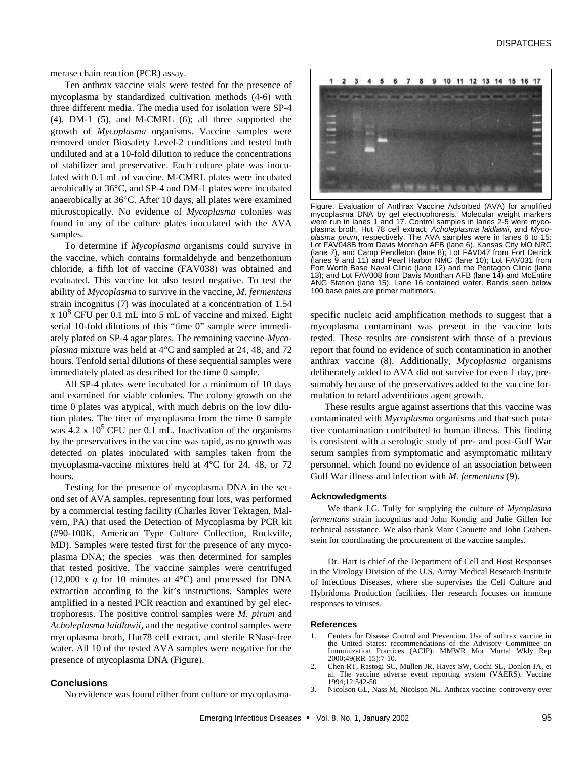merase chain reaction (PCR) assay.

Ten anthrax vaccine vials were tested for the presence of mycoplasma by standardized cultivation methods (4-6) with three different media. The media used for isolation were SP-4 (4), DM-1 (5), and M-CMRL (6); all three supported the growth of *Mycoplasma* organisms. Vaccine samples were removed under Biosafety Level-2 conditions and tested both undiluted and at a 10-fold dilution to reduce the concentrations of stabilizer and preservative. Each culture plate was inoculated with 0.1 mL of vaccine. M-CMRL plates were incubated aerobically at 36°C, and SP-4 and DM-1 plates were incubated anaerobically at 36°C. After 10 days, all plates were examined microscopically. No evidence of *Mycoplasma* colonies was found in any of the culture plates inoculated with the AVA samples.

To determine if *Mycoplasma* organisms could survive in the vaccine, which contains formaldehyde and benzethonium chloride, a fifth lot of vaccine (FAV038) was obtained and evaluated. This vaccine lot also tested negative. To test the ability of *Mycoplasma* to survive in the vaccine, *M. fermentans* strain incognitus (7) was inoculated at a concentration of 1.54  $\ge 10^8$  CFU per 0.1 mL into 5 mL of vaccine and mixed. Eight serial 10-fold dilutions of this "time 0" sample were immediately plated on SP-4 agar plates. The remaining vaccine-*Mycoplasma* mixture was held at 4°C and sampled at 24, 48, and 72 hours. Tenfold serial dilutions of these sequential samples were immediately plated as described for the time 0 sample.

All SP-4 plates were incubated for a minimum of 10 days and examined for viable colonies. The colony growth on the time 0 plates was atypical, with much debris on the low dilution plates. The titer of mycoplasma from the time 0 sample was 4.2 x  $10^5$  CFU per 0.1 mL. Inactivation of the organisms by the preservatives in the vaccine was rapid, as no growth was detected on plates inoculated with samples taken from the mycoplasma-vaccine mixtures held at 4°C for 24, 48, or 72 hours.

Testing for the presence of mycoplasma DNA in the second set of AVA samples, representing four lots, was performed by a commercial testing facility (Charles River Tektagen, Malvern, PA) that used the Detection of Mycoplasma by PCR kit (#90-100K, American Type Culture Collection, Rockville, MD). Samples were tested first for the presence of any mycoplasma DNA; the species was then determined for samples that tested positive. The vaccine samples were centrifuged (12,000 x *g* for 10 minutes at 4°C) and processed for DNA extraction according to the kit's instructions. Samples were amplified in a nested PCR reaction and examined by gel electrophoresis. The positive control samples were *M. pirum* and *Acholeplasma laidlawii*, and the negative control samples were mycoplasma broth, Hut78 cell extract, and sterile RNase-free water. All 10 of the tested AVA samples were negative for the presence of mycoplasma DNA (Figure).

### **Conclusions**

No evidence was found either from culture or mycoplasma-



Figure. Evaluation of Anthrax Vaccine Adsorbed (AVA) for amplified mycoplasma DNA by gel electrophoresis. Molecular weight markers were run in lanes 1 and 17. Control samples in lanes 2-5 were mycoplasma broth, Hut 78 cell extract, *Acholeplasma laidlawii*, and *Myco*plasma pirum, respectively. The AVA samples were in lanes 6 to Lot FAV048B from Davis Monthan AFB (lane 6), Kansas City MO NRC (lane 7), and Camp Pendleton (lane 8); Lot FAV047 from Fort Detrick (lanes 9 and 11) and Pearl Harbor NMC (lane 10); Lot FAV031 from Fort Worth Base Naval Clinic (lane 12) and the Pentagon Clinic (lane 13); and Lot FAV008 from Davis Monthan AFB (lane 14) and McEntire ANG Station (lane 15). Lane 16 contained water. Bands seen below 100 base pairs are primer multimers.

specific nucleic acid amplification methods to suggest that a mycoplasma contaminant was present in the vaccine lots tested. These results are consistent with those of a previous report that found no evidence of such contamination in another anthrax vaccine (8). Additionally, *Mycoplasma* organisms deliberately added to AVA did not survive for even 1 day, presumably because of the preservatives added to the vaccine formulation to retard adventitious agent growth.

These results argue against assertions that this vaccine was contaminated with *Mycoplasma* organisms and that such putative contamination contributed to human illness. This finding is consistent with a serologic study of pre- and post-Gulf War serum samples from symptomatic and asymptomatic military personnel, which found no evidence of an association between Gulf War illness and infection with *M. fermentans* (9).

#### **Acknowledgments**

We thank J.G. Tully for supplying the culture of *Mycoplasma fermentans* strain incognitus and John Kondig and Julie Gillen for technical assistance. We also thank Marc Caouette and John Grabenstein for coordinating the procurement of the vaccine samples.

Dr. Hart is chief of the Department of Cell and Host Responses in the Virology Division of the U.S. Army Medical Research Institute of Infectious Diseases, where she supervises the Cell Culture and Hybridoma Production facilities. Her research focuses on immune responses to viruses.

#### **References**

- 1. Centers for Disease Control and Prevention. Use of anthrax vaccine in the United States: recommendations of the Advisory Committee on Immunization Practices (ACIP). MMWR Mor Mortal Wkly Rep 2000;49(RR-15):7-10.
- 2. Chen RT, Rastogi SC, Mullen JR, Hayes SW, Cochi SL, Donlon JA, et al. The vaccine adverse event reporting system (VAERS). Vaccine 1994;12:542-50.
- 3. Nicolson GL, Nass M, Nicolson NL. Anthrax vaccine: controversy over